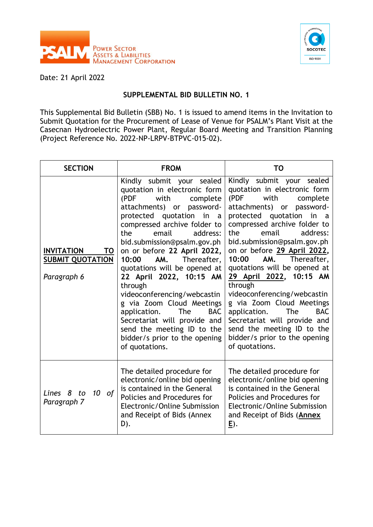



Date: 21 April 2022

## **SUPPLEMENTAL BID BULLETIN NO. 1**

This Supplemental Bid Bulletin (SBB) No. 1 is issued to amend items in the Invitation to Submit Quotation for the Procurement of Lease of Venue for PSALM's Plant Visit at the Casecnan Hydroelectric Power Plant, Regular Board Meeting and Transition Planning (Project Reference No. 2022-NP-LRPV-BTPVC-015-02).

| <b>SECTION</b>                                                    | <b>FROM</b>                                                                                                                                                                                                                                                                                                                                                                                                                                                                                                                                                                                              | <b>TO</b>                                                                                                                                                                                                                                                                                                                                                                                                                                                                                                                                                                                             |
|-------------------------------------------------------------------|----------------------------------------------------------------------------------------------------------------------------------------------------------------------------------------------------------------------------------------------------------------------------------------------------------------------------------------------------------------------------------------------------------------------------------------------------------------------------------------------------------------------------------------------------------------------------------------------------------|-------------------------------------------------------------------------------------------------------------------------------------------------------------------------------------------------------------------------------------------------------------------------------------------------------------------------------------------------------------------------------------------------------------------------------------------------------------------------------------------------------------------------------------------------------------------------------------------------------|
| <b>INVITATION</b><br>TO<br><b>SUBMIT QUOTATION</b><br>Paragraph 6 | Kindly submit your sealed<br>quotation in electronic form<br>(PDF<br>with<br>complete<br>attachments) or<br>password-<br>protected quotation<br>in<br>a<br>compressed archive folder to<br>the<br>email<br>address:<br>bid.submission@psalm.gov.ph<br>on or before 22 April 2022,<br>Thereafter,<br>10:00<br>AM.<br>quotations will be opened at<br>22 April 2022, 10:15 AM<br>through<br>videoconferencing/webcastin<br>g via Zoom Cloud Meetings<br>application.<br>The<br><b>BAC</b><br>Secretariat will provide and<br>send the meeting ID to the<br>bidder/s prior to the opening<br>of quotations. | Kindly submit your sealed<br>quotation in electronic form<br>(PDF<br>with<br>complete<br>attachments) or password-<br>protected quotation<br>in<br>a<br>compressed archive folder to<br>the<br>email<br>address:<br>bid.submission@psalm.gov.ph<br>on or before 29 April 2022,<br>AM.<br>Thereafter,<br>10:00<br>quotations will be opened at<br>29 April 2022, 10:15 AM<br>through<br>videoconferencing/webcastin<br>g via Zoom Cloud Meetings<br>The<br><b>BAC</b><br>application.<br>Secretariat will provide and<br>send the meeting ID to the<br>bidder/s prior to the opening<br>of quotations. |
| 10<br>Lines 8<br>to<br>of<br>Paragraph 7                          | The detailed procedure for<br>electronic/online bid opening<br>is contained in the General<br>Policies and Procedures for<br>Electronic/Online Submission<br>and Receipt of Bids (Annex<br>D).                                                                                                                                                                                                                                                                                                                                                                                                           | The detailed procedure for<br>electronic/online bid opening<br>is contained in the General<br>Policies and Procedures for<br>Electronic/Online Submission<br>and Receipt of Bids (Annex<br><u>E</u> ).                                                                                                                                                                                                                                                                                                                                                                                                |